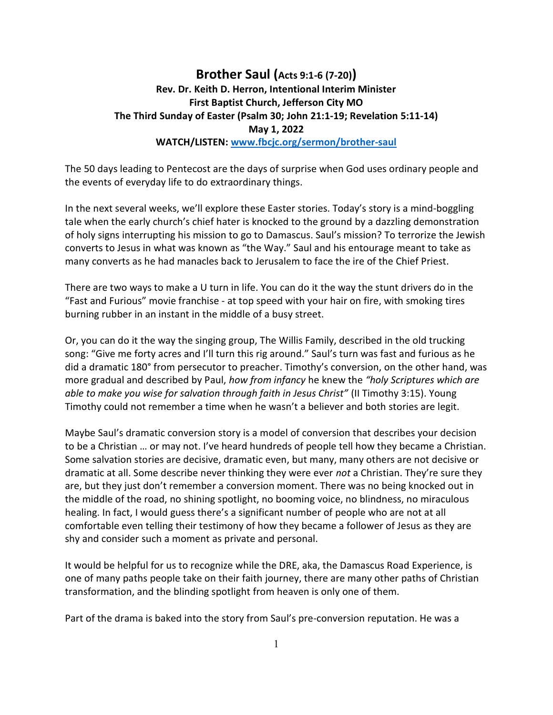## Brother Saul (Acts 9:1-6 (7-20)) Rev. Dr. Keith D. Herron, Intentional Interim Minister First Baptist Church, Jefferson City MO The Third Sunday of Easter (Psalm 30; John 21:1-19; Revelation 5:11-14) May 1, 2022 WATCH/LISTEN: www.fbcjc.org/sermon/brother-saul

The 50 days leading to Pentecost are the days of surprise when God uses ordinary people and the events of everyday life to do extraordinary things.

In the next several weeks, we'll explore these Easter stories. Today's story is a mind-boggling tale when the early church's chief hater is knocked to the ground by a dazzling demonstration of holy signs interrupting his mission to go to Damascus. Saul's mission? To terrorize the Jewish converts to Jesus in what was known as "the Way." Saul and his entourage meant to take as many converts as he had manacles back to Jerusalem to face the ire of the Chief Priest.

There are two ways to make a U turn in life. You can do it the way the stunt drivers do in the "Fast and Furious" movie franchise - at top speed with your hair on fire, with smoking tires burning rubber in an instant in the middle of a busy street.

Or, you can do it the way the singing group, The Willis Family, described in the old trucking song: "Give me forty acres and I'll turn this rig around." Saul's turn was fast and furious as he did a dramatic 180° from persecutor to preacher. Timothy's conversion, on the other hand, was more gradual and described by Paul, how from infancy he knew the "holy Scriptures which are able to make you wise for salvation through faith in Jesus Christ" (II Timothy 3:15). Young Timothy could not remember a time when he wasn't a believer and both stories are legit.

Maybe Saul's dramatic conversion story is a model of conversion that describes your decision to be a Christian … or may not. I've heard hundreds of people tell how they became a Christian. Some salvation stories are decisive, dramatic even, but many, many others are not decisive or dramatic at all. Some describe never thinking they were ever not a Christian. They're sure they are, but they just don't remember a conversion moment. There was no being knocked out in the middle of the road, no shining spotlight, no booming voice, no blindness, no miraculous healing. In fact, I would guess there's a significant number of people who are not at all comfortable even telling their testimony of how they became a follower of Jesus as they are shy and consider such a moment as private and personal.

It would be helpful for us to recognize while the DRE, aka, the Damascus Road Experience, is one of many paths people take on their faith journey, there are many other paths of Christian transformation, and the blinding spotlight from heaven is only one of them.

Part of the drama is baked into the story from Saul's pre-conversion reputation. He was a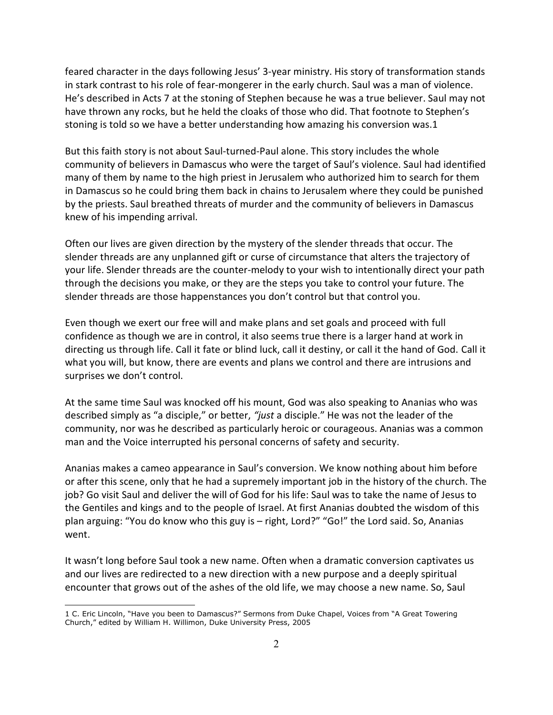feared character in the days following Jesus' 3-year ministry. His story of transformation stands in stark contrast to his role of fear-mongerer in the early church. Saul was a man of violence. He's described in Acts 7 at the stoning of Stephen because he was a true believer. Saul may not have thrown any rocks, but he held the cloaks of those who did. That footnote to Stephen's stoning is told so we have a better understanding how amazing his conversion was.1

But this faith story is not about Saul-turned-Paul alone. This story includes the whole community of believers in Damascus who were the target of Saul's violence. Saul had identified many of them by name to the high priest in Jerusalem who authorized him to search for them in Damascus so he could bring them back in chains to Jerusalem where they could be punished by the priests. Saul breathed threats of murder and the community of believers in Damascus knew of his impending arrival.

Often our lives are given direction by the mystery of the slender threads that occur. The slender threads are any unplanned gift or curse of circumstance that alters the trajectory of your life. Slender threads are the counter-melody to your wish to intentionally direct your path through the decisions you make, or they are the steps you take to control your future. The slender threads are those happenstances you don't control but that control you.

Even though we exert our free will and make plans and set goals and proceed with full confidence as though we are in control, it also seems true there is a larger hand at work in directing us through life. Call it fate or blind luck, call it destiny, or call it the hand of God. Call it what you will, but know, there are events and plans we control and there are intrusions and surprises we don't control.

At the same time Saul was knocked off his mount, God was also speaking to Ananias who was described simply as "a disciple," or better, "just a disciple." He was not the leader of the community, nor was he described as particularly heroic or courageous. Ananias was a common man and the Voice interrupted his personal concerns of safety and security.

Ananias makes a cameo appearance in Saul's conversion. We know nothing about him before or after this scene, only that he had a supremely important job in the history of the church. The job? Go visit Saul and deliver the will of God for his life: Saul was to take the name of Jesus to the Gentiles and kings and to the people of Israel. At first Ananias doubted the wisdom of this plan arguing: "You do know who this guy is – right, Lord?" "Go!" the Lord said. So, Ananias went.

It wasn't long before Saul took a new name. Often when a dramatic conversion captivates us and our lives are redirected to a new direction with a new purpose and a deeply spiritual encounter that grows out of the ashes of the old life, we may choose a new name. So, Saul

l

<sup>1</sup> C. Eric Lincoln, "Have you been to Damascus?" Sermons from Duke Chapel, Voices from "A Great Towering Church," edited by William H. Willimon, Duke University Press, 2005